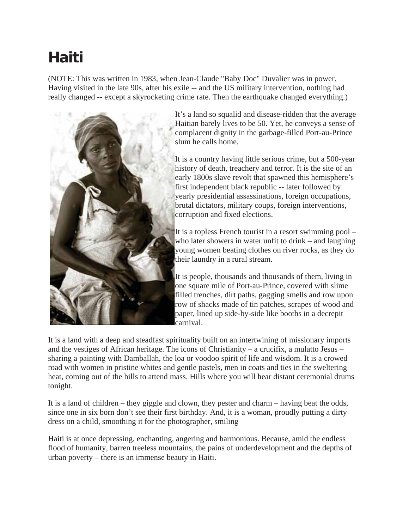## **Haiti**

(NOTE: This was written in 1983, when Jean-Claude "Baby Doc" Duvalier was in power. Having visited in the late 90s, after his exile -- and the US military intervention, nothing had really changed -- except a skyrocketing crime rate. Then the earthquake changed everything.)



It's a land so squalid and disease-ridden that the average Haitian barely lives to be 50. Yet, he conveys a sense of complacent dignity in the garbage-filled Port-au-Prince slum he calls home.

It is a country having little serious crime, but a 500-year history of death, treachery and terror. It is the site of an early 1800s slave revolt that spawned this hemisphere's first independent black republic -- later followed by yearly presidential assassinations, foreign occupations, brutal dictators, military coups, foreign interventions, corruption and fixed elections.

It is a topless French tourist in a resort swimming pool – who later showers in water unfit to drink – and laughing young women beating clothes on river rocks, as they do their laundry in a rural stream.

It is people, thousands and thousands of them, living in one square mile of Port-au-Prince, covered with slime filled trenches, dirt paths, gagging smells and row upon row of shacks made of tin patches, scrapes of wood and paper, lined up side-by-side like booths in a decrepit carnival.

It is a land with a deep and steadfast spirituality built on an intertwining of missionary imports and the vestiges of African heritage. The icons of Christianity – a crucifix, a mulatto Jesus – sharing a painting with Damballah, the loa or voodoo spirit of life and wisdom. It is a crowed road with women in pristine whites and gentle pastels, men in coats and ties in the sweltering heat, coming out of the hills to attend mass. Hills where you will hear distant ceremonial drums tonight.

It is a land of children – they giggle and clown, they pester and charm – having beat the odds, since one in six born don't see their first birthday. And, it is a woman, proudly putting a dirty dress on a child, smoothing it for the photographer, smiling

Haiti is at once depressing, enchanting, angering and harmonious. Because, amid the endless flood of humanity, barren treeless mountains, the pains of underdevelopment and the depths of urban poverty – there is an immense beauty in Haiti.